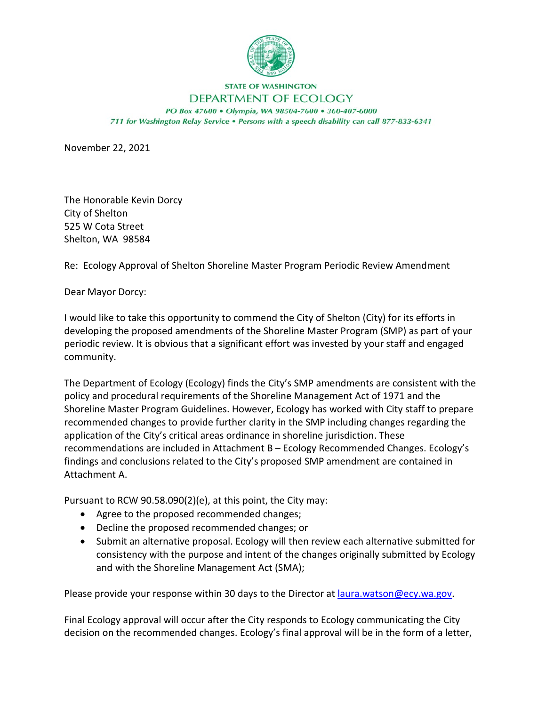

## **STATE OF WASHINGTON** DEPARTMENT OF ECOLOGY

PO Box 47600 . Olympia, WA 98504-7600 . 360-407-6000 711 for Washington Relay Service . Persons with a speech disability can call 877-833-6341

November 22, 2021

The Honorable Kevin Dorcy City of Shelton 525 W Cota Street Shelton, WA 98584

Re: Ecology Approval of Shelton Shoreline Master Program Periodic Review Amendment

Dear Mayor Dorcy:

I would like to take this opportunity to commend the City of Shelton (City) for its efforts in developing the proposed amendments of the Shoreline Master Program (SMP) as part of your periodic review. It is obvious that a significant effort was invested by your staff and engaged community.

The Department of Ecology (Ecology) finds the City's SMP amendments are consistent with the policy and procedural requirements of the Shoreline Management Act of 1971 and the Shoreline Master Program Guidelines. However, Ecology has worked with City staff to prepare recommended changes to provide further clarity in the SMP including changes regarding the application of the City's critical areas ordinance in shoreline jurisdiction. These recommendations are included in Attachment B – Ecology Recommended Changes. Ecology's findings and conclusions related to the City's proposed SMP amendment are contained in Attachment A.

Pursuant to RCW 90.58.090(2)(e), at this point, the City may:

- Agree to the proposed recommended changes;
- Decline the proposed recommended changes; or
- Submit an alternative proposal. Ecology will then review each alternative submitted for consistency with the purpose and intent of the changes originally submitted by Ecology and with the Shoreline Management Act (SMA);

Please provide your response within 30 days to the Director at *[laura.watson@ecy.wa.gov.](mailto:laura.watson@ecy.wa.gov)* 

Final Ecology approval will occur after the City responds to Ecology communicating the City decision on the recommended changes. Ecology's final approval will be in the form of a letter,